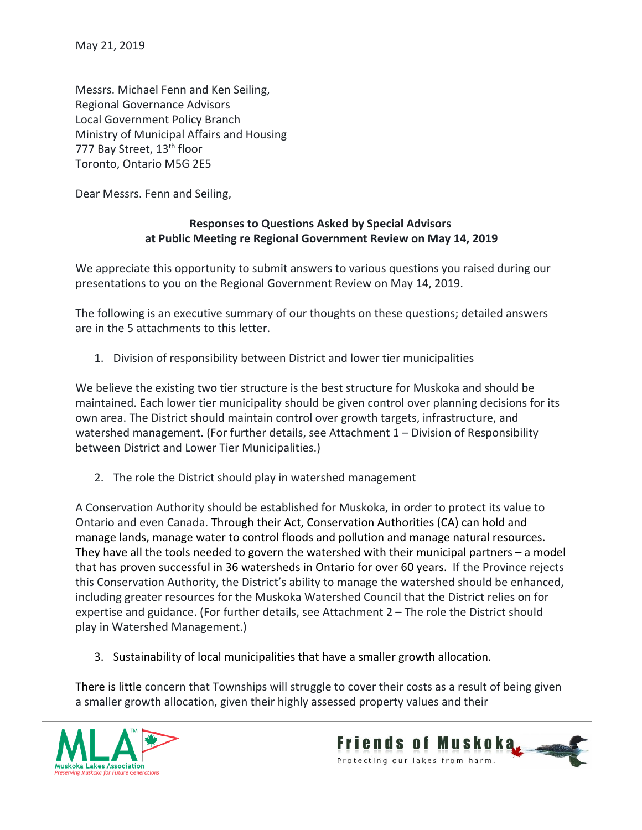Messrs. Michael Fenn and Ken Seiling, Regional Governance Advisors Local Government Policy Branch Ministry of Municipal Affairs and Housing 777 Bay Street, 13<sup>th</sup> floor Toronto, Ontario M5G 2E5

Dear Messrs. Fenn and Seiling,

# Responses to Questions Asked by Special Advisors at Public Meeting re Regional Government Review on May 14, 2019

We appreciate this opportunity to submit answers to various questions you raised during our presentations to you on the Regional Government Review on May 14, 2019.

The following is an executive summary of our thoughts on these questions; detailed answers are in the 5 attachments to this letter.

1. Division of responsibility between District and lower tier municipalities

We believe the existing two tier structure is the best structure for Muskoka and should be maintained. Each lower tier municipality should be given control over planning decisions for its own area. The District should maintain control over growth targets, infrastructure, and watershed management. (For further details, see Attachment 1 – Division of Responsibility between District and Lower Tier Municipalities.)

2. The role the District should play in watershed management

A Conservation Authority should be established for Muskoka, in order to protect its value to Ontario and even Canada. Through their Act, Conservation Authorities (CA) can hold and manage lands, manage water to control floods and pollution and manage natural resources. They have all the tools needed to govern the watershed with their municipal partners – a model that has proven successful in 36 watersheds in Ontario for over 60 years. If the Province rejects this Conservation Authority, the District's ability to manage the watershed should be enhanced, including greater resources for the Muskoka Watershed Council that the District relies on for expertise and guidance. (For further details, see Attachment 2 – The role the District should play in Watershed Management.)

3. Sustainability of local municipalities that have a smaller growth allocation.

There is little concern that Townships will struggle to cover their costs as a result of being given a smaller growth allocation, given their highly assessed property values and their



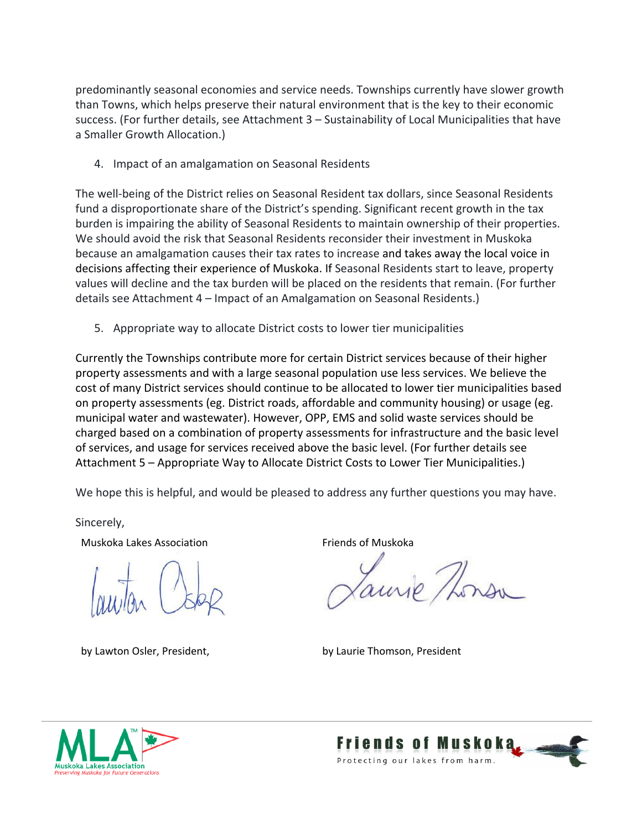predominantly seasonal economies and service needs. Townships currently have slower growth than Towns, which helps preserve their natural environment that is the key to their economic success. (For further details, see Attachment 3 – Sustainability of Local Municipalities that have a Smaller Growth Allocation.)

4. Impact of an amalgamation on Seasonal Residents

The well-being of the District relies on Seasonal Resident tax dollars, since Seasonal Residents fund a disproportionate share of the District's spending. Significant recent growth in the tax burden is impairing the ability of Seasonal Residents to maintain ownership of their properties. We should avoid the risk that Seasonal Residents reconsider their investment in Muskoka because an amalgamation causes their tax rates to increase and takes away the local voice in decisions affecting their experience of Muskoka. If Seasonal Residents start to leave, property values will decline and the tax burden will be placed on the residents that remain. (For further details see Attachment 4 – Impact of an Amalgamation on Seasonal Residents.)

5. Appropriate way to allocate District costs to lower tier municipalities

Currently the Townships contribute more for certain District services because of their higher property assessments and with a large seasonal population use less services. We believe the cost of many District services should continue to be allocated to lower tier municipalities based on property assessments (eg. District roads, affordable and community housing) or usage (eg. municipal water and wastewater). However, OPP, EMS and solid waste services should be charged based on a combination of property assessments for infrastructure and the basic level of services, and usage for services received above the basic level. (For further details see Attachment 5 – Appropriate Way to Allocate District Costs to Lower Tier Municipalities.)

We hope this is helpful, and would be pleased to address any further questions you may have.

Sincerely,

Muskoka Lakes Association **Friends of Muskoka** 

Jaurie Thomas

by Lawton Osler, President, by Laurie Thomson, President



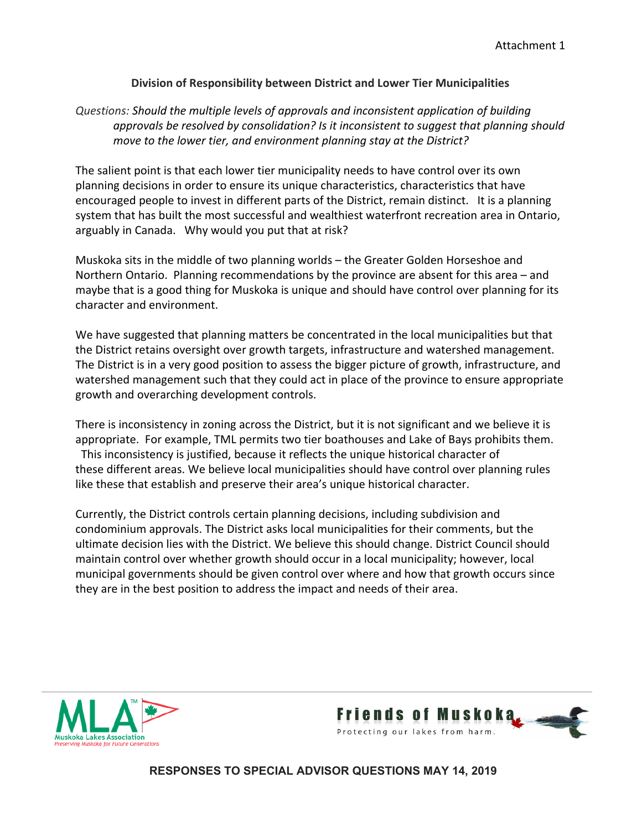### Division of Responsibility between District and Lower Tier Municipalities

# Questions: Should the multiple levels of approvals and inconsistent application of building approvals be resolved by consolidation? Is it inconsistent to suggest that planning should move to the lower tier, and environment planning stay at the District?

The salient point is that each lower tier municipality needs to have control over its own planning decisions in order to ensure its unique characteristics, characteristics that have encouraged people to invest in different parts of the District, remain distinct. It is a planning system that has built the most successful and wealthiest waterfront recreation area in Ontario, arguably in Canada. Why would you put that at risk?

Muskoka sits in the middle of two planning worlds – the Greater Golden Horseshoe and Northern Ontario. Planning recommendations by the province are absent for this area – and maybe that is a good thing for Muskoka is unique and should have control over planning for its character and environment.

We have suggested that planning matters be concentrated in the local municipalities but that the District retains oversight over growth targets, infrastructure and watershed management. The District is in a very good position to assess the bigger picture of growth, infrastructure, and watershed management such that they could act in place of the province to ensure appropriate growth and overarching development controls.

There is inconsistency in zoning across the District, but it is not significant and we believe it is appropriate. For example, TML permits two tier boathouses and Lake of Bays prohibits them. This inconsistency is justified, because it reflects the unique historical character of these different areas. We believe local municipalities should have control over planning rules like these that establish and preserve their area's unique historical character.

Currently, the District controls certain planning decisions, including subdivision and condominium approvals. The District asks local municipalities for their comments, but the ultimate decision lies with the District. We believe this should change. District Council should maintain control over whether growth should occur in a local municipality; however, local municipal governments should be given control over where and how that growth occurs since they are in the best position to address the impact and needs of their area.



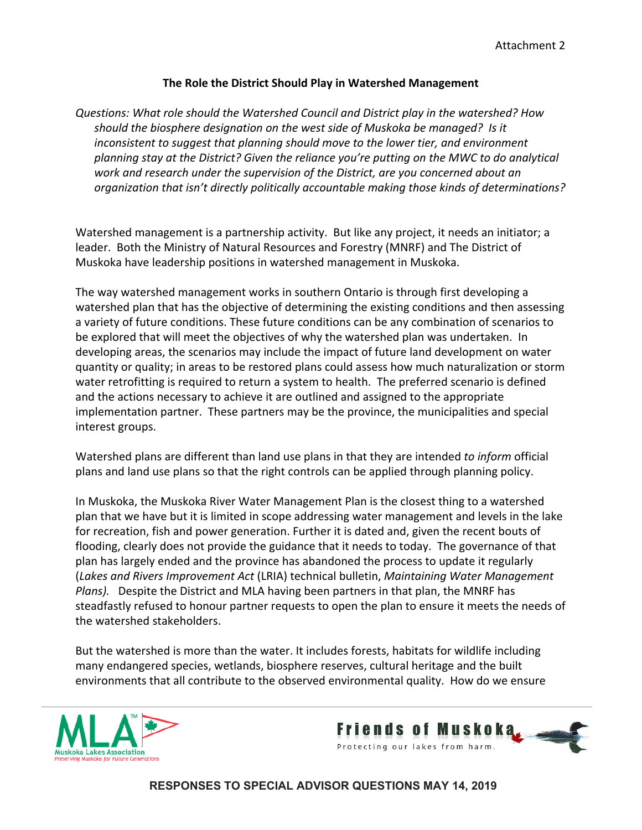### The Role the District Should Play in Watershed Management

Questions: What role should the Watershed Council and District play in the watershed? How should the biosphere designation on the west side of Muskoka be managed? Is it inconsistent to suggest that planning should move to the lower tier, and environment planning stay at the District? Given the reliance you're putting on the MWC to do analytical work and research under the supervision of the District, are you concerned about an organization that isn't directly politically accountable making those kinds of determinations?

Watershed management is a partnership activity. But like any project, it needs an initiator; a leader. Both the Ministry of Natural Resources and Forestry (MNRF) and The District of Muskoka have leadership positions in watershed management in Muskoka.

The way watershed management works in southern Ontario is through first developing a watershed plan that has the objective of determining the existing conditions and then assessing a variety of future conditions. These future conditions can be any combination of scenarios to be explored that will meet the objectives of why the watershed plan was undertaken. In developing areas, the scenarios may include the impact of future land development on water quantity or quality; in areas to be restored plans could assess how much naturalization or storm water retrofitting is required to return a system to health. The preferred scenario is defined and the actions necessary to achieve it are outlined and assigned to the appropriate implementation partner. These partners may be the province, the municipalities and special interest groups.

Watershed plans are different than land use plans in that they are intended to inform official plans and land use plans so that the right controls can be applied through planning policy.

In Muskoka, the Muskoka River Water Management Plan is the closest thing to a watershed plan that we have but it is limited in scope addressing water management and levels in the lake for recreation, fish and power generation. Further it is dated and, given the recent bouts of flooding, clearly does not provide the guidance that it needs to today. The governance of that plan has largely ended and the province has abandoned the process to update it regularly (Lakes and Rivers Improvement Act (LRIA) technical bulletin, Maintaining Water Management Plans). Despite the District and MLA having been partners in that plan, the MNRF has steadfastly refused to honour partner requests to open the plan to ensure it meets the needs of the watershed stakeholders.

But the watershed is more than the water. It includes forests, habitats for wildlife including many endangered species, wetlands, biosphere reserves, cultural heritage and the built environments that all contribute to the observed environmental quality. How do we ensure



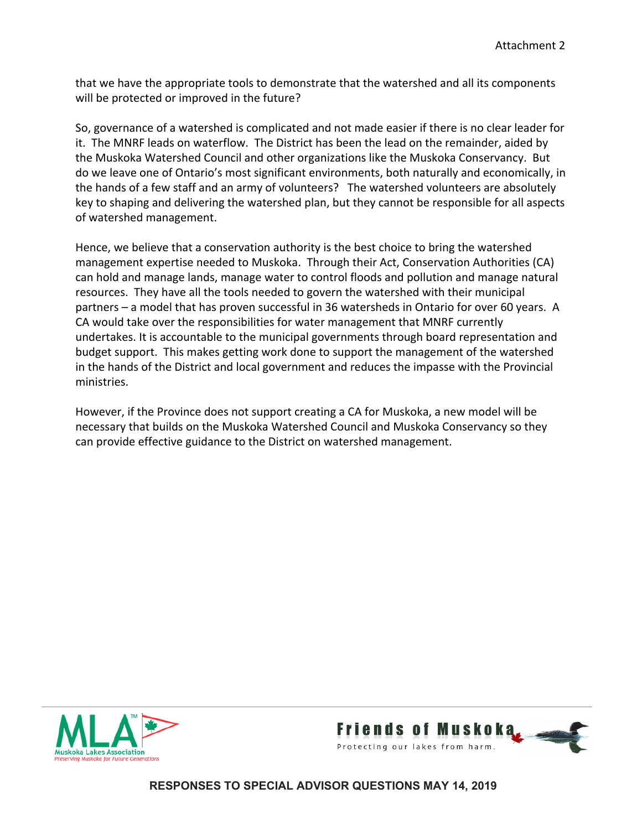that we have the appropriate tools to demonstrate that the watershed and all its components will be protected or improved in the future?

So, governance of a watershed is complicated and not made easier if there is no clear leader for it. The MNRF leads on waterflow. The District has been the lead on the remainder, aided by the Muskoka Watershed Council and other organizations like the Muskoka Conservancy. But do we leave one of Ontario's most significant environments, both naturally and economically, in the hands of a few staff and an army of volunteers? The watershed volunteers are absolutely key to shaping and delivering the watershed plan, but they cannot be responsible for all aspects of watershed management.

Hence, we believe that a conservation authority is the best choice to bring the watershed management expertise needed to Muskoka. Through their Act, Conservation Authorities (CA) can hold and manage lands, manage water to control floods and pollution and manage natural resources. They have all the tools needed to govern the watershed with their municipal partners – a model that has proven successful in 36 watersheds in Ontario for over 60 years. A CA would take over the responsibilities for water management that MNRF currently undertakes. It is accountable to the municipal governments through board representation and budget support. This makes getting work done to support the management of the watershed in the hands of the District and local government and reduces the impasse with the Provincial ministries.

However, if the Province does not support creating a CA for Muskoka, a new model will be necessary that builds on the Muskoka Watershed Council and Muskoka Conservancy so they can provide effective guidance to the District on watershed management.



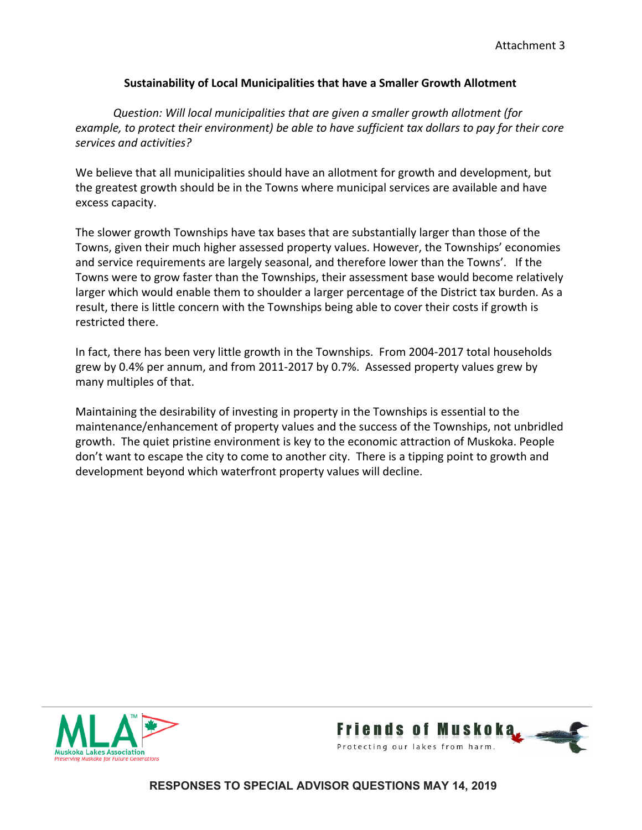## Sustainability of Local Municipalities that have a Smaller Growth Allotment

Question: Will local municipalities that are given a smaller growth allotment (for example, to protect their environment) be able to have sufficient tax dollars to pay for their core services and activities?

We believe that all municipalities should have an allotment for growth and development, but the greatest growth should be in the Towns where municipal services are available and have excess capacity.

The slower growth Townships have tax bases that are substantially larger than those of the Towns, given their much higher assessed property values. However, the Townships' economies and service requirements are largely seasonal, and therefore lower than the Towns'. If the Towns were to grow faster than the Townships, their assessment base would become relatively larger which would enable them to shoulder a larger percentage of the District tax burden. As a result, there is little concern with the Townships being able to cover their costs if growth is restricted there.

In fact, there has been very little growth in the Townships. From 2004-2017 total households grew by 0.4% per annum, and from 2011-2017 by 0.7%. Assessed property values grew by many multiples of that.

Maintaining the desirability of investing in property in the Townships is essential to the maintenance/enhancement of property values and the success of the Townships, not unbridled growth. The quiet pristine environment is key to the economic attraction of Muskoka. People don't want to escape the city to come to another city. There is a tipping point to growth and development beyond which waterfront property values will decline.



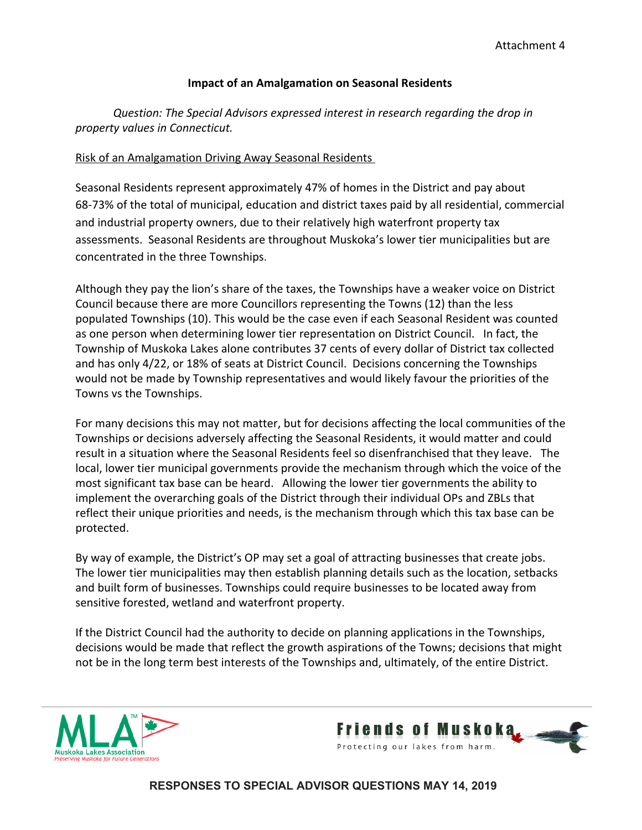### Impact of an Amalgamation on Seasonal Residents

Question: The Special Advisors expressed interest in research regarding the drop in property values in Connecticut.

## Risk of an Amalgamation Driving Away Seasonal Residents

Seasonal Residents represent approximately 47% of homes in the District and pay about 68-73% of the total of municipal, education and district taxes paid by all residential, commercial and industrial property owners, due to their relatively high waterfront property tax assessments. Seasonal Residents are throughout Muskoka's lower tier municipalities but are concentrated in the three Townships.

Although they pay the lion's share of the taxes, the Townships have a weaker voice on District Council because there are more Councillors representing the Towns (12) than the less populated Townships (10). This would be the case even if each Seasonal Resident was counted as one person when determining lower tier representation on District Council. In fact, the Township of Muskoka Lakes alone contributes 37 cents of every dollar of District tax collected and has only 4/22, or 18% of seats at District Council. Decisions concerning the Townships would not be made by Township representatives and would likely favour the priorities of the Towns vs the Townships.

For many decisions this may not matter, but for decisions affecting the local communities of the Townships or decisions adversely affecting the Seasonal Residents, it would matter and could result in a situation where the Seasonal Residents feel so disenfranchised that they leave. The local, lower tier municipal governments provide the mechanism through which the voice of the most significant tax base can be heard. Allowing the lower tier governments the ability to implement the overarching goals of the District through their individual OPs and ZBLs that reflect their unique priorities and needs, is the mechanism through which this tax base can be protected.

By way of example, the District's OP may set a goal of attracting businesses that create jobs. The lower tier municipalities may then establish planning details such as the location, setbacks and built form of businesses. Townships could require businesses to be located away from sensitive forested, wetland and waterfront property.

If the District Council had the authority to decide on planning applications in the Townships, decisions would be made that reflect the growth aspirations of the Towns; decisions that might not be in the long term best interests of the Townships and, ultimately, of the entire District.



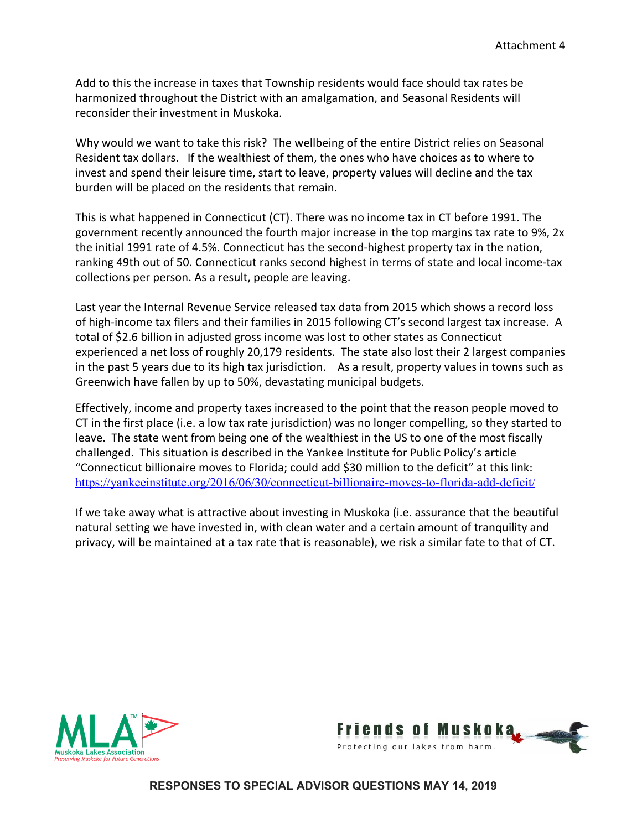Add to this the increase in taxes that Township residents would face should tax rates be harmonized throughout the District with an amalgamation, and Seasonal Residents will reconsider their investment in Muskoka.

Why would we want to take this risk? The wellbeing of the entire District relies on Seasonal Resident tax dollars. If the wealthiest of them, the ones who have choices as to where to invest and spend their leisure time, start to leave, property values will decline and the tax burden will be placed on the residents that remain.

This is what happened in Connecticut (CT). There was no income tax in CT before 1991. The government recently announced the fourth major increase in the top margins tax rate to 9%, 2x the initial 1991 rate of 4.5%. Connecticut has the second-highest property tax in the nation, ranking 49th out of 50. Connecticut ranks second highest in terms of state and local income-tax collections per person. As a result, people are leaving.

Last year the [Internal Revenue Service](https://www.irs.gov/statistics/soi-tax-stats-migration-data-2015-2016) released tax data from 2015 which shows a record loss of high-income tax filers and their families in 2015 following CT's second largest tax increase. A total of \$2.6 billion in adjusted gross income was lost to other states as Connecticut experienced a net loss of roughly 20,179 residents. The state also lost their 2 largest companies in the past 5 years due to its high tax jurisdiction. As a result, property values in towns such as Greenwich have fallen by up to 50%, devastating municipal budgets.

Effectively, income and property taxes increased to the point that the reason people moved to CT in the first place (i.e. a low tax rate jurisdiction) was no longer compelling, so they started to leave. The state went from being one of the wealthiest in the US to one of the most fiscally challenged. This situation is described in the Yankee Institute for Public Policy's article "Connecticut billionaire moves to Florida; could add \$30 million to the deficit" at this link: <https://yankeeinstitute.org/2016/06/30/connecticut-billionaire-moves-to-florida-add-deficit/>

If we take away what is attractive about investing in Muskoka (i.e. assurance that the beautiful natural setting we have invested in, with clean water and a certain amount of tranquility and privacy, will be maintained at a tax rate that is reasonable), we risk a similar fate to that of CT.